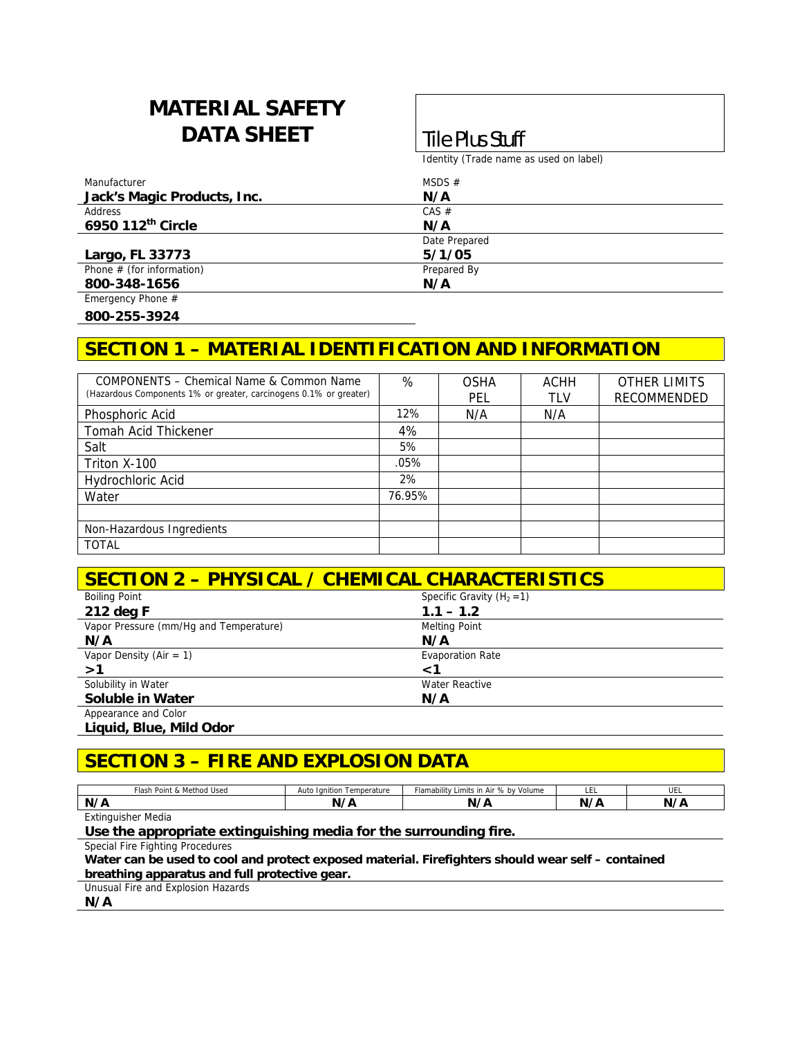# **MATERIAL SAFETY DATA SHEET Tile Plus Stuff**

Identity (Trade name as used on label)

| Manufacturer                | MSDS $#$      |  |
|-----------------------------|---------------|--|
| Jack's Magic Products, Inc. | N/A           |  |
| Address                     | $CAS \#$      |  |
| 6950 112th Circle           | N/A           |  |
|                             | Date Prepared |  |
| Largo, FL 33773             | 5/1/05        |  |
| Phone $#$ (for information) | Prepared By   |  |
| 800-348-1656                | N/A           |  |
| Emergency Phone #           |               |  |

**800-255-3924** 

## **SECTION 1 – MATERIAL IDENTIFICATION AND INFORMATION**

| COMPONENTS - Chemical Name & Common Name<br>(Hazardous Components 1% or greater, carcinogens 0.1% or greater) | %      | <b>OSHA</b><br>PEL | ACHH<br>TLV | <b>OTHER LIMITS</b><br>RECOMMENDED |
|---------------------------------------------------------------------------------------------------------------|--------|--------------------|-------------|------------------------------------|
| Phosphoric Acid                                                                                               | 12%    | N/A                | N/A         |                                    |
| Tomah Acid Thickener                                                                                          | 4%     |                    |             |                                    |
| Salt                                                                                                          | 5%     |                    |             |                                    |
| Triton X-100                                                                                                  | .05%   |                    |             |                                    |
| Hydrochloric Acid                                                                                             | 2%     |                    |             |                                    |
| Water                                                                                                         | 76.95% |                    |             |                                    |
|                                                                                                               |        |                    |             |                                    |
| Non-Hazardous Ingredients                                                                                     |        |                    |             |                                    |
| <b>TOTAL</b>                                                                                                  |        |                    |             |                                    |

| <b>SECTION 2 - PHYSICAL / CHEMICAL CHARACTERISTICS</b> |                              |  |
|--------------------------------------------------------|------------------------------|--|
| <b>Boiling Point</b>                                   | Specific Gravity $(H_2 = 1)$ |  |
| 212 deg F                                              | $1.1 - 1.2$                  |  |
| Vapor Pressure (mm/Hg and Temperature)                 | <b>Melting Point</b>         |  |
| N/A                                                    | N/A                          |  |
| Vapor Density (Air = 1)                                | <b>Evaporation Rate</b>      |  |
| >1                                                     | $\leq$ <sup>7</sup>          |  |
| Solubility in Water                                    | Water Reactive               |  |
| <b>Soluble in Water</b>                                | N/A                          |  |
| Appearance and Color                                   |                              |  |

**Liquid, Blue, Mild Odor** 

## **SECTION 3 – FIRE AND EXPLOSION DATA**

| Flash Point & Method Used | lanition<br>⊦ Temperature<br>Auto | Flamability Limits in Air % by Volume | -<br>ᄔ     | <br>UEL    |
|---------------------------|-----------------------------------|---------------------------------------|------------|------------|
| N/A                       | N/A                               | N                                     | $N_{\ell}$ | N/F<br>. . |
| <b>Extinguisher Media</b> |                                   |                                       |            |            |

**Use the appropriate extinguishing media for the surrounding fire.** 

Special Fire Fighting Procedures

| Water can be used to cool and protect exposed material. Firefighters should wear self - contained |  |
|---------------------------------------------------------------------------------------------------|--|
| breathing apparatus and full protective gear.                                                     |  |

Unusual Fire and Explosion Hazards

**N/A**